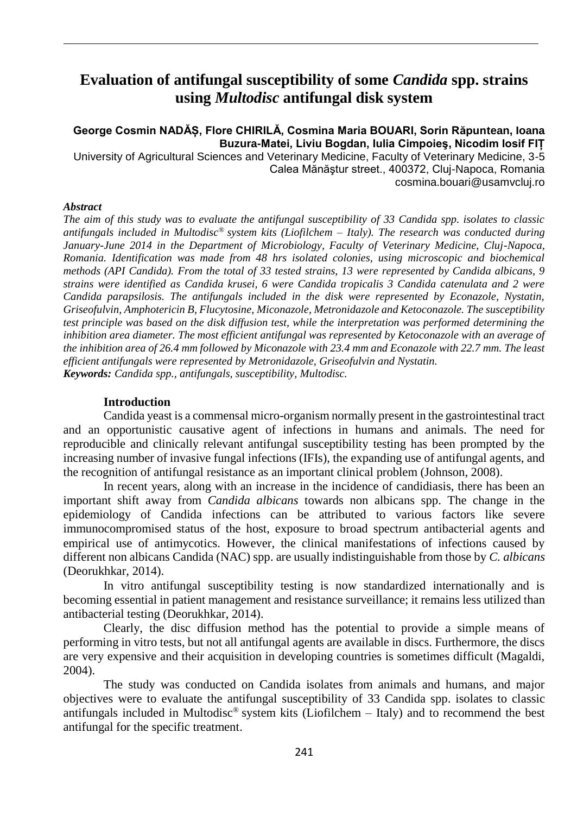# **Evaluation of antifungal susceptibility of some** *Candida* **spp. strains using** *Multodisc* **antifungal disk system**

# **George Cosmin NADĂȘ, Flore CHIRILĂ, Cosmina Maria BOUARI, Sorin Răpuntean, Ioana Buzura-Matei, Liviu Bogdan, Iulia Cimpoieş, Nicodim Iosif FIȚ**

University of Agricultural Sciences and Veterinary Medicine, Faculty of Veterinary Medicine, 3-5 Calea Mănăştur street., 400372, Cluj-Napoca, Romania [cosmina.bouari@usamvcluj.ro](mailto:cosmina.bouari@usamvcluj.ro)

#### *Abstract*

*The aim of this study was to evaluate the antifungal susceptibility of 33 Candida spp. isolates to classic antifungals included in Multodisc® system kits (Liofilchem – Italy). The research was conducted during January-June 2014 in the Department of Microbiology, Faculty of Veterinary Medicine, Cluj-Napoca, Romania. Identification was made from 48 hrs isolated colonies, using microscopic and biochemical methods (API Candida). From the total of 33 tested strains, 13 were represented by Candida albicans, 9 strains were identified as Candida krusei, 6 were Candida tropicalis 3 Candida catenulata and 2 were Candida parapsilosis. The antifungals included in the disk were represented by Econazole, Nystatin, Griseofulvin, Amphotericin B, Flucytosine, Miconazole, Metronidazole and Ketoconazole. The susceptibility test principle was based on the disk diffusion test, while the interpretation was performed determining the inhibition area diameter. The most efficient antifungal was represented by Ketoconazole with an average of the inhibition area of 26.4 mm followed by Miconazole with 23.4 mm and Econazole with 22.7 mm. The least efficient antifungals were represented by Metronidazole, Griseofulvin and Nystatin. Keywords: Candida spp., antifungals, susceptibility, Multodisc.*

### **Introduction**

Candida yeast is a commensal micro-organism normally present in the gastrointestinal tract and an opportunistic causative agent of infections in humans and animals. The need for reproducible and clinically relevant antifungal susceptibility testing has been prompted by the increasing number of invasive fungal infections (IFIs), the expanding use of antifungal agents, and the recognition of antifungal resistance as an important clinical problem (Johnson, 2008).

In recent years, along with an increase in the incidence of candidiasis, there has been an important shift away from *Candida albicans* towards non albicans spp. The change in the epidemiology of Candida infections can be attributed to various factors like severe immunocompromised status of the host, exposure to broad spectrum antibacterial agents and empirical use of antimycotics. However, the clinical manifestations of infections caused by different non albicans Candida (NAC) spp. are usually indistinguishable from those by *C. albicans* (Deorukhkar, 2014).

In vitro antifungal susceptibility testing is now standardized internationally and is becoming essential in patient management and resistance surveillance; it remains less utilized than antibacterial testing (Deorukhkar, 2014).

Clearly, the disc diffusion method has the potential to provide a simple means of performing in vitro tests, but not all antifungal agents are available in discs. Furthermore, the discs are very expensive and their acquisition in developing countries is sometimes difficult (Magaldi, 2004).

The study was conducted on Candida isolates from animals and humans, and major objectives were to evaluate the antifungal susceptibility of 33 Candida spp. isolates to classic antifungals included in Multodisc<sup>®</sup> system kits (Liofilchem – Italy) and to recommend the best antifungal for the specific treatment.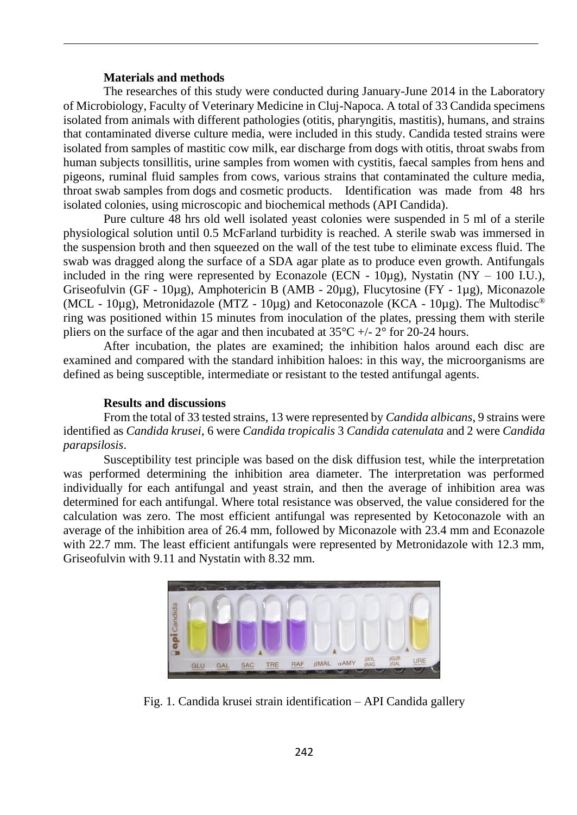## **Materials and methods**

The researches of this study were conducted during January-June 2014 in the Laboratory of Microbiology, Faculty of Veterinary Medicine in Cluj-Napoca. A total of 33 Candida specimens isolated from animals with different pathologies (otitis, pharyngitis, mastitis), humans, and strains that contaminated diverse culture media, were included in this study. Candida tested strains were isolated from samples of mastitic cow milk, ear discharge from dogs with otitis, throat swabs from human subjects tonsillitis, urine samples from women with cystitis, faecal samples from hens and pigeons, ruminal fluid samples from cows, various strains that contaminated the culture media, throat swab samples from dogs and cosmetic products. Identification was made from 48 hrs isolated colonies, using microscopic and biochemical methods (API Candida).

Pure culture 48 hrs old well isolated yeast colonies were suspended in 5 ml of a sterile physiological solution until 0.5 McFarland turbidity is reached. A sterile swab was immersed in the suspension broth and then squeezed on the wall of the test tube to eliminate excess fluid. The swab was dragged along the surface of a SDA agar plate as to produce even growth. Antifungals included in the ring were represented by Econazole (ECN -  $10\mu$ g), Nystatin (NY – 100 I.U.), Griseofulvin (GF - 10µg), Amphotericin B (AMB - 20µg), Flucytosine (FY - 1µg), Miconazole (MCL - 10µg), Metronidazole (MTZ - 10µg) and Ketoconazole (KCA - 10µg). The Multodisc<sup>®</sup> ring was positioned within 15 minutes from inoculation of the plates, pressing them with sterile pliers on the surface of the agar and then incubated at  $35^{\circ}C +1/2^{\circ}$  for 20-24 hours.

After incubation, the plates are examined; the inhibition halos around each disc are examined and compared with the standard inhibition haloes: in this way, the microorganisms are defined as being susceptible, intermediate or resistant to the tested antifungal agents.

## **Results and discussions**

From the total of 33 tested strains, 13 were represented by *Candida albicans*, 9 strains were identified as *Candida krusei*, 6 were *Candida tropicalis* 3 *Candida catenulata* and 2 were *Candida parapsilosis*.

Susceptibility test principle was based on the disk diffusion test, while the interpretation was performed determining the inhibition area diameter. The interpretation was performed individually for each antifungal and yeast strain, and then the average of inhibition area was determined for each antifungal. Where total resistance was observed, the value considered for the calculation was zero. The most efficient antifungal was represented by Ketoconazole with an average of the inhibition area of 26.4 mm, followed by Miconazole with 23.4 mm and Econazole with 22.7 mm. The least efficient antifungals were represented by Metronidazole with 12.3 mm, Griseofulvin with 9.11 and Nystatin with 8.32 mm.



Fig. 1. Candida krusei strain identification – API Candida gallery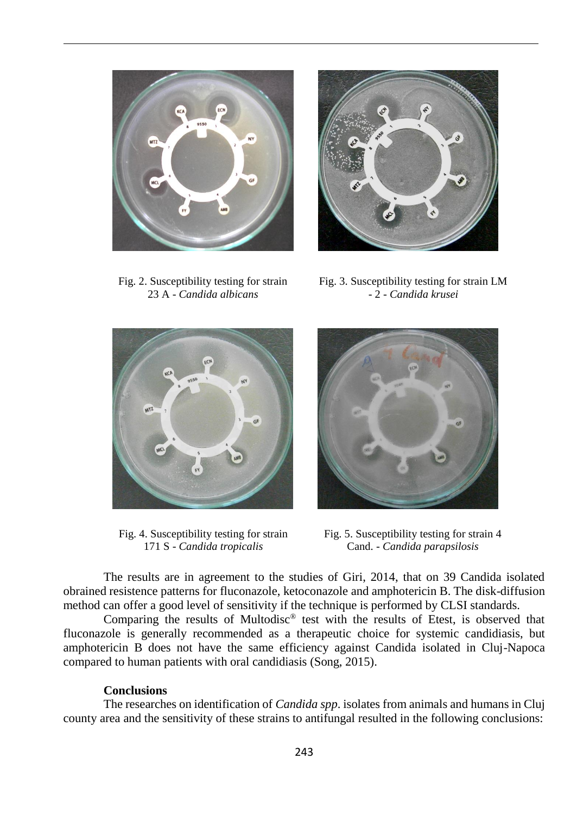

Fig. 2. Susceptibility testing for strain 23 A - *Candida albicans*



Fig. 3. Susceptibility testing for strain LM - 2 - *Candida krusei*



Fig. 4. Susceptibility testing for strain 171 S - *Candida tropicalis*



Fig. 5. Susceptibility testing for strain 4 Cand. - *Candida parapsilosis*

The results are in agreement to the studies of Giri, 2014, that on 39 Candida isolated obrained resistence patterns for fluconazole, ketoconazole and amphotericin B. The disk-diffusion method can offer a good level of sensitivity if the technique is performed by CLSI standards.

Comparing the results of Multodisc® test with the results of Etest, is observed that fluconazole is generally recommended as a therapeutic choice for systemic candidiasis, but amphotericin B does not have the same efficiency against Candida isolated in Cluj-Napoca compared to human patients with oral candidiasis (Song, 2015).

#### **Conclusions**

The researches on identification of *Candida spp*. isolates from animals and humans in Cluj county area and the sensitivity of these strains to antifungal resulted in the following conclusions: